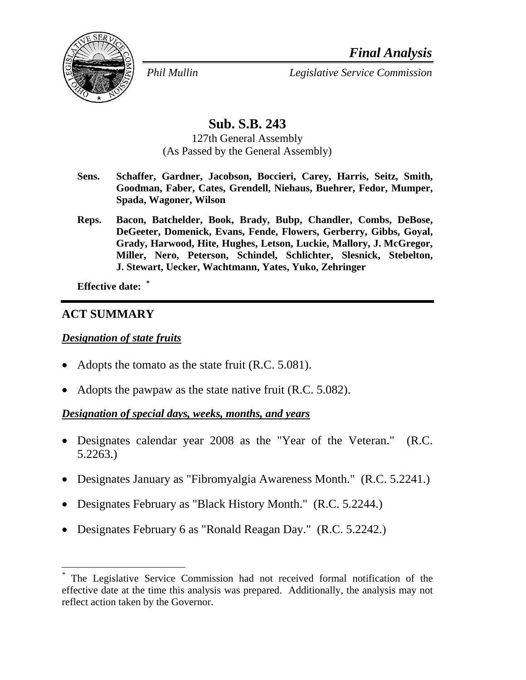*Final Analysis*



*Phil Mullin Legislative Service Commission*

# **Sub. S.B. 243**

127th General Assembly (As Passed by the General Assembly)

- **Sens. Schaffer, Gardner, Jacobson, Boccieri, Carey, Harris, Seitz, Smith, Goodman, Faber, Cates, Grendell, Niehaus, Buehrer, Fedor, Mumper, Spada, Wagoner, Wilson**
- **Reps. Bacon, Batchelder, Book, Brady, Bubp, Chandler, Combs, DeBose, DeGeeter, Domenick, Evans, Fende, Flowers, Gerberry, Gibbs, Goyal, Grady, Harwood, Hite, Hughes, Letson, Luckie, Mallory, J. McGregor, Miller, Nero, Peterson, Schindel, Schlichter, Slesnick, Stebelton, J. Stewart, Uecker, Wachtmann, Yates, Yuko, Zehringer**

**Effective date: \***

### **ACT SUMMARY**

 $\overline{a}$ 

#### *Designation of state fruits*

- Adopts the tomato as the state fruit (R.C. 5.081).
- Adopts the pawpaw as the state native fruit (R.C. 5.082).

#### *Designation of special days, weeks, months, and years*

- Designates calendar year 2008 as the "Year of the Veteran." (R.C. 5.2263.)
- Designates January as "Fibromyalgia Awareness Month." (R.C. 5.2241.)
- Designates February as "Black History Month." (R.C. 5.2244.)
- Designates February 6 as "Ronald Reagan Day." (R.C. 5.2242.)

The Legislative Service Commission had not received formal notification of the effective date at the time this analysis was prepared. Additionally, the analysis may not reflect action taken by the Governor.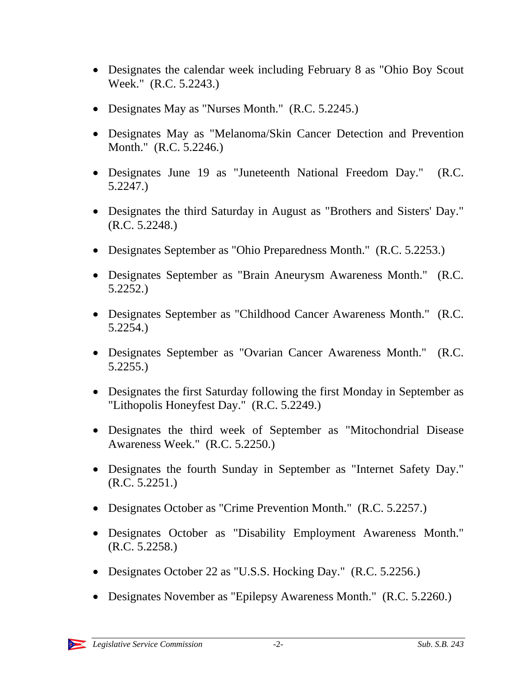- Designates the calendar week including February 8 as "Ohio Boy Scout" Week." (R.C. 5.2243.)
- Designates May as "Nurses Month." (R.C. 5.2245.)
- Designates May as "Melanoma/Skin Cancer Detection and Prevention Month." (R.C. 5.2246.)
- Designates June 19 as "Juneteenth National Freedom Day." (R.C. 5.2247.)
- Designates the third Saturday in August as "Brothers and Sisters' Day." (R.C. 5.2248.)
- Designates September as "Ohio Preparedness Month." (R.C. 5.2253.)
- Designates September as "Brain Aneurysm Awareness Month." (R.C. 5.2252.)
- Designates September as "Childhood Cancer Awareness Month." (R.C. 5.2254.)
- Designates September as "Ovarian Cancer Awareness Month." (R.C. 5.2255.)
- Designates the first Saturday following the first Monday in September as "Lithopolis Honeyfest Day." (R.C. 5.2249.)
- Designates the third week of September as "Mitochondrial Disease Awareness Week." (R.C. 5.2250.)
- Designates the fourth Sunday in September as "Internet Safety Day." (R.C. 5.2251.)
- Designates October as "Crime Prevention Month." (R.C. 5.2257.)
- Designates October as "Disability Employment Awareness Month." (R.C. 5.2258.)
- Designates October 22 as "U.S.S. Hocking Day." (R.C. 5.2256.)
- Designates November as "Epilepsy Awareness Month." (R.C. 5.2260.)

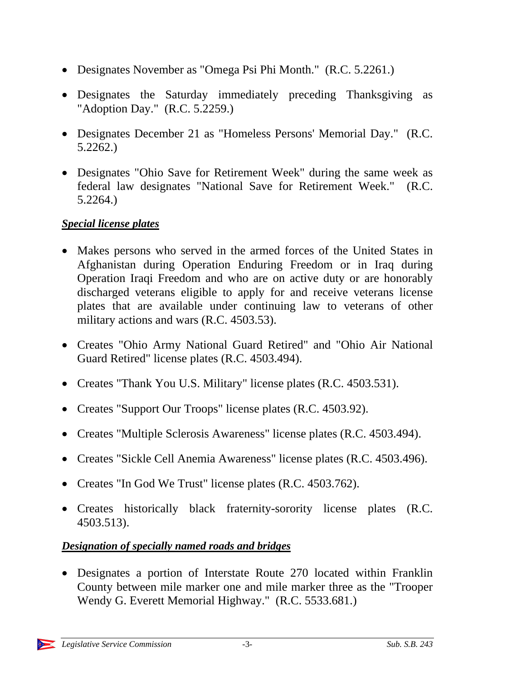- Designates November as "Omega Psi Phi Month." (R.C. 5.2261.)
- Designates the Saturday immediately preceding Thanksgiving as "Adoption Day." (R.C. 5.2259.)
- Designates December 21 as "Homeless Persons' Memorial Day." (R.C. 5.2262.)
- Designates "Ohio Save for Retirement Week" during the same week as federal law designates "National Save for Retirement Week." (R.C. 5.2264.)

## *Special license plates*

- Makes persons who served in the armed forces of the United States in Afghanistan during Operation Enduring Freedom or in Iraq during Operation Iraqi Freedom and who are on active duty or are honorably discharged veterans eligible to apply for and receive veterans license plates that are available under continuing law to veterans of other military actions and wars (R.C. 4503.53).
- Creates "Ohio Army National Guard Retired" and "Ohio Air National Guard Retired" license plates (R.C. 4503.494).
- Creates "Thank You U.S. Military" license plates (R.C. 4503.531).
- Creates "Support Our Troops" license plates (R.C. 4503.92).
- Creates "Multiple Sclerosis Awareness" license plates (R.C. 4503.494).
- Creates "Sickle Cell Anemia Awareness" license plates (R.C. 4503.496).
- Creates "In God We Trust" license plates (R.C. 4503.762).
- Creates historically black fraternity-sorority license plates (R.C. 4503.513).

# *Designation of specially named roads and bridges*

• Designates a portion of Interstate Route 270 located within Franklin County between mile marker one and mile marker three as the "Trooper Wendy G. Everett Memorial Highway." (R.C. 5533.681.)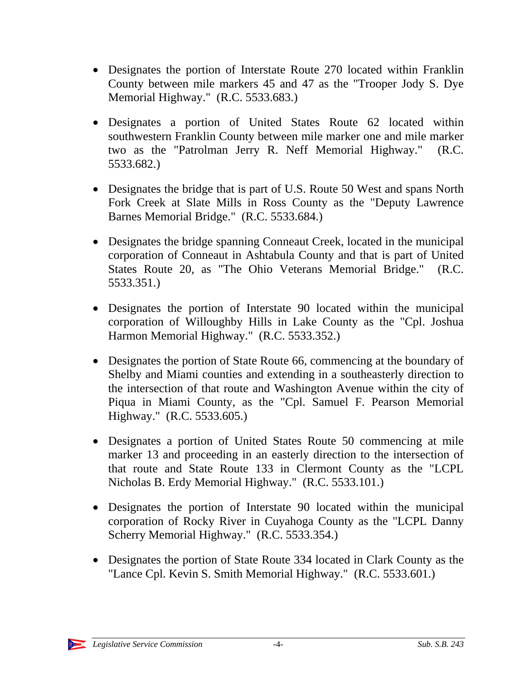- Designates the portion of Interstate Route 270 located within Franklin County between mile markers 45 and 47 as the "Trooper Jody S. Dye Memorial Highway." (R.C. 5533.683.)
- Designates a portion of United States Route 62 located within southwestern Franklin County between mile marker one and mile marker two as the "Patrolman Jerry R. Neff Memorial Highway." (R.C. 5533.682.)
- Designates the bridge that is part of U.S. Route 50 West and spans North Fork Creek at Slate Mills in Ross County as the "Deputy Lawrence Barnes Memorial Bridge." (R.C. 5533.684.)
- Designates the bridge spanning Conneaut Creek, located in the municipal corporation of Conneaut in Ashtabula County and that is part of United States Route 20, as "The Ohio Veterans Memorial Bridge." (R.C. 5533.351.)
- Designates the portion of Interstate 90 located within the municipal corporation of Willoughby Hills in Lake County as the "Cpl. Joshua Harmon Memorial Highway." (R.C. 5533.352.)
- Designates the portion of State Route 66, commencing at the boundary of Shelby and Miami counties and extending in a southeasterly direction to the intersection of that route and Washington Avenue within the city of Piqua in Miami County, as the "Cpl. Samuel F. Pearson Memorial Highway." (R.C. 5533.605.)
- Designates a portion of United States Route 50 commencing at mile marker 13 and proceeding in an easterly direction to the intersection of that route and State Route 133 in Clermont County as the "LCPL Nicholas B. Erdy Memorial Highway." (R.C. 5533.101.)
- Designates the portion of Interstate 90 located within the municipal corporation of Rocky River in Cuyahoga County as the "LCPL Danny Scherry Memorial Highway." (R.C. 5533.354.)
- Designates the portion of State Route 334 located in Clark County as the "Lance Cpl. Kevin S. Smith Memorial Highway." (R.C. 5533.601.)